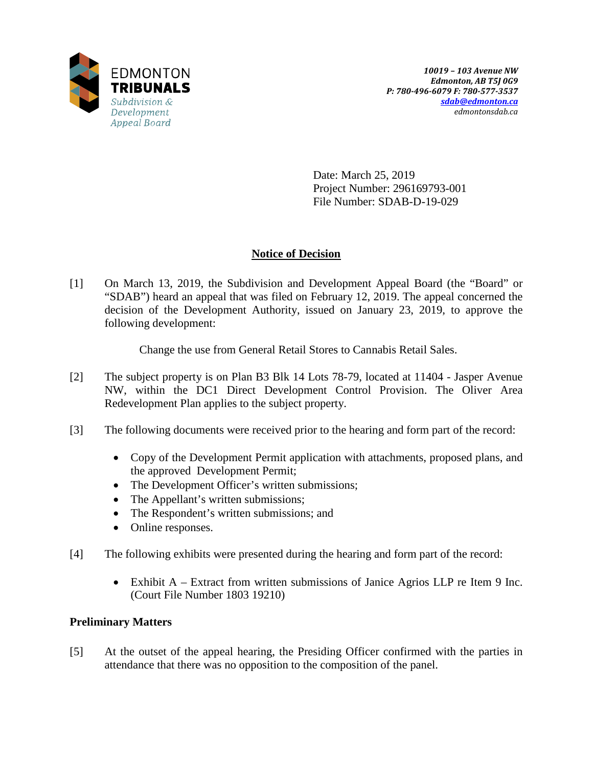

Date: March 25, 2019 Project Number: 296169793-001 File Number: SDAB-D-19-029

## **Notice of Decision**

[1] On March 13, 2019, the Subdivision and Development Appeal Board (the "Board" or "SDAB") heard an appeal that was filed on February 12, 2019. The appeal concerned the decision of the Development Authority, issued on January 23, 2019, to approve the following development:

Change the use from General Retail Stores to Cannabis Retail Sales.

- [2] The subject property is on Plan B3 Blk 14 Lots 78-79, located at 11404 Jasper Avenue NW, within the DC1 Direct Development Control Provision. The Oliver Area Redevelopment Plan applies to the subject property.
- [3] The following documents were received prior to the hearing and form part of the record:
	- Copy of the Development Permit application with attachments, proposed plans, and the approved Development Permit;
	- The Development Officer's written submissions;
	- The Appellant's written submissions;
	- The Respondent's written submissions; and
	- Online responses.
- [4] The following exhibits were presented during the hearing and form part of the record:
	- Exhibit A Extract from written submissions of Janice Agrios LLP re Item 9 Inc. (Court File Number 1803 19210)

# **Preliminary Matters**

[5] At the outset of the appeal hearing, the Presiding Officer confirmed with the parties in attendance that there was no opposition to the composition of the panel.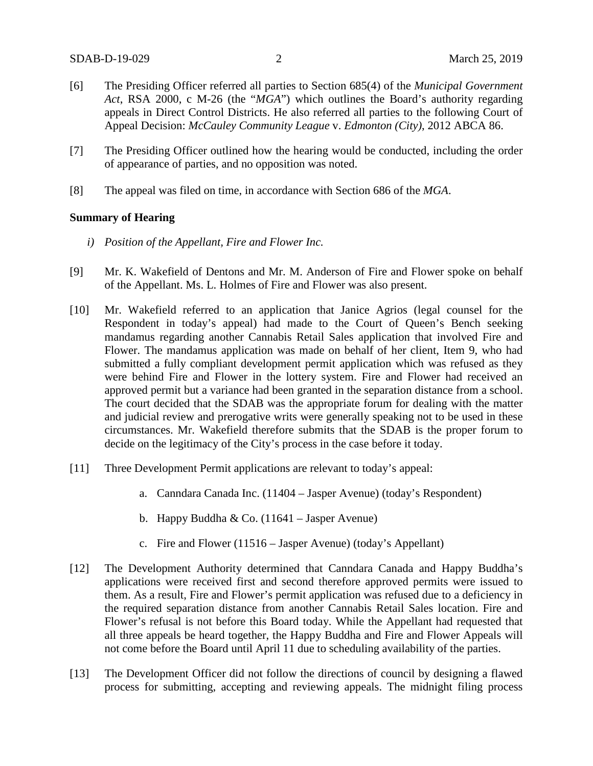- [6] The Presiding Officer referred all parties to Section 685(4) of the *Municipal Government Act*, RSA 2000, c M-26 (the "*MGA*") which outlines the Board's authority regarding appeals in Direct Control Districts. He also referred all parties to the following Court of Appeal Decision: *McCauley Community League* v. *Edmonton (City)*, 2012 ABCA 86.
- [7] The Presiding Officer outlined how the hearing would be conducted, including the order of appearance of parties, and no opposition was noted.
- [8] The appeal was filed on time, in accordance with Section 686 of the *MGA*.

#### **Summary of Hearing**

- *i) Position of the Appellant, Fire and Flower Inc.*
- [9] Mr. K. Wakefield of Dentons and Mr. M. Anderson of Fire and Flower spoke on behalf of the Appellant. Ms. L. Holmes of Fire and Flower was also present.
- [10] Mr. Wakefield referred to an application that Janice Agrios (legal counsel for the Respondent in today's appeal) had made to the Court of Queen's Bench seeking mandamus regarding another Cannabis Retail Sales application that involved Fire and Flower. The mandamus application was made on behalf of her client, Item 9, who had submitted a fully compliant development permit application which was refused as they were behind Fire and Flower in the lottery system. Fire and Flower had received an approved permit but a variance had been granted in the separation distance from a school. The court decided that the SDAB was the appropriate forum for dealing with the matter and judicial review and prerogative writs were generally speaking not to be used in these circumstances. Mr. Wakefield therefore submits that the SDAB is the proper forum to decide on the legitimacy of the City's process in the case before it today.
- [11] Three Development Permit applications are relevant to today's appeal:
	- a. Canndara Canada Inc. (11404 Jasper Avenue) (today's Respondent)
	- b. Happy Buddha & Co.  $(11641 \text{Jasper Avenue})$
	- c. Fire and Flower (11516 Jasper Avenue) (today's Appellant)
- [12] The Development Authority determined that Canndara Canada and Happy Buddha's applications were received first and second therefore approved permits were issued to them. As a result, Fire and Flower's permit application was refused due to a deficiency in the required separation distance from another Cannabis Retail Sales location. Fire and Flower's refusal is not before this Board today. While the Appellant had requested that all three appeals be heard together, the Happy Buddha and Fire and Flower Appeals will not come before the Board until April 11 due to scheduling availability of the parties.
- [13] The Development Officer did not follow the directions of council by designing a flawed process for submitting, accepting and reviewing appeals. The midnight filing process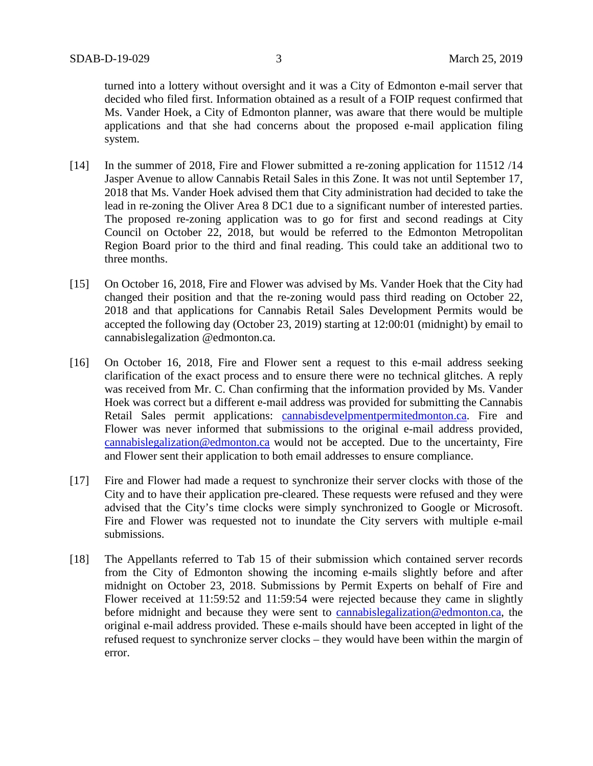turned into a lottery without oversight and it was a City of Edmonton e-mail server that decided who filed first. Information obtained as a result of a FOIP request confirmed that Ms. Vander Hoek, a City of Edmonton planner, was aware that there would be multiple applications and that she had concerns about the proposed e-mail application filing system.

- [14] In the summer of 2018, Fire and Flower submitted a re-zoning application for 11512 /14 Jasper Avenue to allow Cannabis Retail Sales in this Zone. It was not until September 17, 2018 that Ms. Vander Hoek advised them that City administration had decided to take the lead in re-zoning the Oliver Area 8 DC1 due to a significant number of interested parties. The proposed re-zoning application was to go for first and second readings at City Council on October 22, 2018, but would be referred to the Edmonton Metropolitan Region Board prior to the third and final reading. This could take an additional two to three months.
- [15] On October 16, 2018, Fire and Flower was advised by Ms. Vander Hoek that the City had changed their position and that the re-zoning would pass third reading on October 22, 2018 and that applications for Cannabis Retail Sales Development Permits would be accepted the following day (October 23, 2019) starting at 12:00:01 (midnight) by email to cannabislegalization @edmonton.ca.
- [16] On October 16, 2018, Fire and Flower sent a request to this e-mail address seeking clarification of the exact process and to ensure there were no technical glitches. A reply was received from Mr. C. Chan confirming that the information provided by Ms. Vander Hoek was correct but a different e-mail address was provided for submitting the Cannabis Retail Sales permit applications: cannabisdevelpmentpermitedmonton.ca. Fire and Flower was never informed that submissions to the original e-mail address provided, [cannabislegalization@edmonton.ca](mailto:cannabislegalization@edmonton.ca) would not be accepted. Due to the uncertainty, Fire and Flower sent their application to both email addresses to ensure compliance.
- [17] Fire and Flower had made a request to synchronize their server clocks with those of the City and to have their application pre-cleared. These requests were refused and they were advised that the City's time clocks were simply synchronized to Google or Microsoft. Fire and Flower was requested not to inundate the City servers with multiple e-mail submissions.
- [18] The Appellants referred to Tab 15 of their submission which contained server records from the City of Edmonton showing the incoming e-mails slightly before and after midnight on October 23, 2018. Submissions by Permit Experts on behalf of Fire and Flower received at 11:59:52 and 11:59:54 were rejected because they came in slightly before midnight and because they were sent to [cannabislegalization@edmonton.ca,](mailto:cannabislegalization@edmonton.ca) the original e-mail address provided. These e-mails should have been accepted in light of the refused request to synchronize server clocks – they would have been within the margin of error.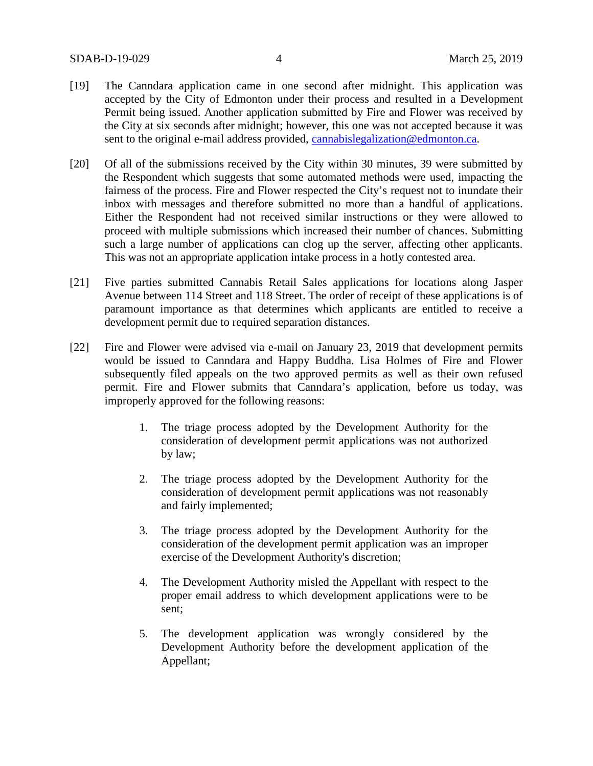- [19] The Canndara application came in one second after midnight. This application was accepted by the City of Edmonton under their process and resulted in a Development Permit being issued. Another application submitted by Fire and Flower was received by the City at six seconds after midnight; however, this one was not accepted because it was sent to the original e-mail address provided, [cannabislegalization@edmonton.ca.](mailto:cannabislegalization@edmonton.ca)
- [20] Of all of the submissions received by the City within 30 minutes, 39 were submitted by the Respondent which suggests that some automated methods were used, impacting the fairness of the process. Fire and Flower respected the City's request not to inundate their inbox with messages and therefore submitted no more than a handful of applications. Either the Respondent had not received similar instructions or they were allowed to proceed with multiple submissions which increased their number of chances. Submitting such a large number of applications can clog up the server, affecting other applicants. This was not an appropriate application intake process in a hotly contested area.
- [21] Five parties submitted Cannabis Retail Sales applications for locations along Jasper Avenue between 114 Street and 118 Street. The order of receipt of these applications is of paramount importance as that determines which applicants are entitled to receive a development permit due to required separation distances.
- [22] Fire and Flower were advised via e-mail on January 23, 2019 that development permits would be issued to Canndara and Happy Buddha. Lisa Holmes of Fire and Flower subsequently filed appeals on the two approved permits as well as their own refused permit. Fire and Flower submits that Canndara's application, before us today, was improperly approved for the following reasons:
	- 1. The triage process adopted by the Development Authority for the consideration of development permit applications was not authorized by law;
	- 2. The triage process adopted by the Development Authority for the consideration of development permit applications was not reasonably and fairly implemented;
	- 3. The triage process adopted by the Development Authority for the consideration of the development permit application was an improper exercise of the Development Authority's discretion;
	- 4. The Development Authority misled the Appellant with respect to the proper email address to which development applications were to be sent;
	- 5. The development application was wrongly considered by the Development Authority before the development application of the Appellant;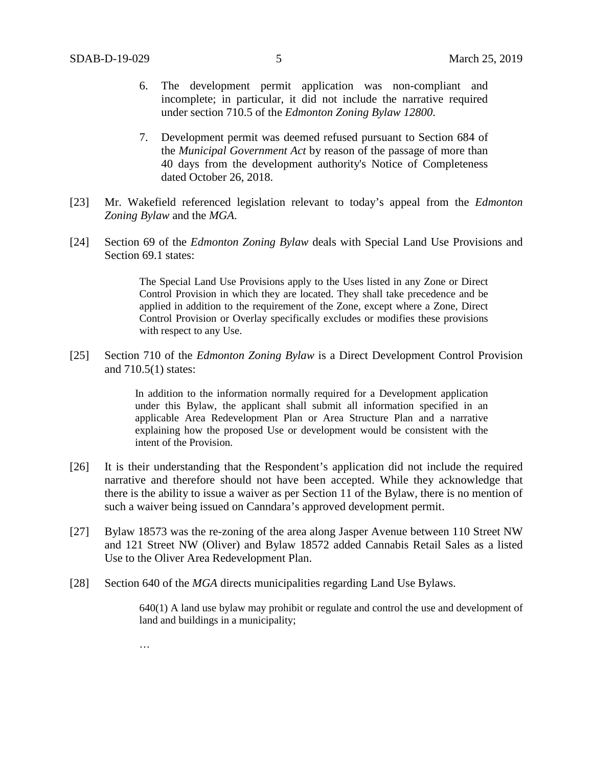- 6. The development permit application was non-compliant and incomplete; in particular, it did not include the narrative required under section 710.5 of the *Edmonton Zoning Bylaw 12800*.
- 7. Development permit was deemed refused pursuant to Section 684 of the *Municipal Government Act* by reason of the passage of more than 40 days from the development authority's Notice of Completeness dated October 26, 2018.
- [23] Mr. Wakefield referenced legislation relevant to today's appeal from the *Edmonton Zoning Bylaw* and the *MGA*.
- [24] Section 69 of the *Edmonton Zoning Bylaw* deals with Special Land Use Provisions and Section 69.1 states:

The Special Land Use Provisions apply to the Uses listed in any Zone or Direct Control Provision in which they are located. They shall take precedence and be applied in addition to the requirement of the Zone, except where a Zone, Direct Control Provision or Overlay specifically excludes or modifies these provisions with respect to any Use.

[25] Section 710 of the *Edmonton Zoning Bylaw* is a Direct Development Control Provision and 710.5(1) states:

> In addition to the information normally required for a Development application under this Bylaw, the applicant shall submit all information specified in an applicable Area Redevelopment Plan or Area Structure Plan and a narrative explaining how the proposed Use or development would be consistent with the intent of the Provision.

- [26] It is their understanding that the Respondent's application did not include the required narrative and therefore should not have been accepted. While they acknowledge that there is the ability to issue a waiver as per Section 11 of the Bylaw, there is no mention of such a waiver being issued on Canndara's approved development permit.
- [27] Bylaw 18573 was the re-zoning of the area along Jasper Avenue between 110 Street NW and 121 Street NW (Oliver) and Bylaw 18572 added Cannabis Retail Sales as a listed Use to the Oliver Area Redevelopment Plan.
- [28] Section 640 of the *MGA* directs municipalities regarding Land Use Bylaws.

640(1) A land use bylaw may prohibit or regulate and control the use and development of land and buildings in a municipality;

…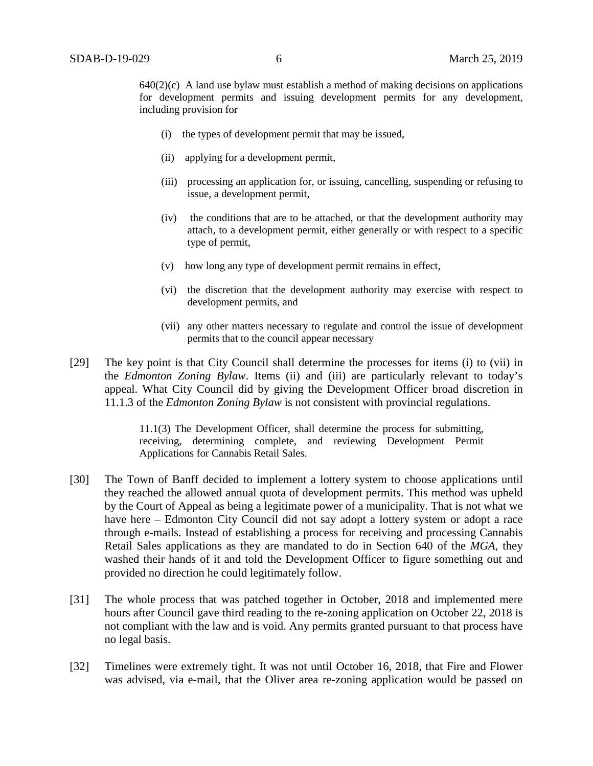$640(2)(c)$  A land use bylaw must establish a method of making decisions on applications for development permits and issuing development permits for any development, including provision for

- (i) the types of development permit that may be issued,
- (ii) applying for a development permit,
- (iii) processing an application for, or issuing, cancelling, suspending or refusing to issue, a development permit,
- (iv) the conditions that are to be attached, or that the development authority may attach, to a development permit, either generally or with respect to a specific type of permit,
- (v) how long any type of development permit remains in effect,
- (vi) the discretion that the development authority may exercise with respect to development permits, and
- (vii) any other matters necessary to regulate and control the issue of development permits that to the council appear necessary
- [29] The key point is that City Council shall determine the processes for items (i) to (vii) in the *Edmonton Zoning Bylaw*. Items (ii) and (iii) are particularly relevant to today's appeal. What City Council did by giving the Development Officer broad discretion in 11.1.3 of the *Edmonton Zoning Bylaw* is not consistent with provincial regulations.

11.1(3) The Development Officer, shall determine the process for submitting, receiving, determining complete, and reviewing Development Permit Applications for Cannabis Retail Sales.

- [30] The Town of Banff decided to implement a lottery system to choose applications until they reached the allowed annual quota of development permits. This method was upheld by the Court of Appeal as being a legitimate power of a municipality. That is not what we have here – Edmonton City Council did not say adopt a lottery system or adopt a race through e-mails. Instead of establishing a process for receiving and processing Cannabis Retail Sales applications as they are mandated to do in Section 640 of the *MGA*, they washed their hands of it and told the Development Officer to figure something out and provided no direction he could legitimately follow.
- [31] The whole process that was patched together in October, 2018 and implemented mere hours after Council gave third reading to the re-zoning application on October 22, 2018 is not compliant with the law and is void. Any permits granted pursuant to that process have no legal basis.
- [32] Timelines were extremely tight. It was not until October 16, 2018, that Fire and Flower was advised, via e-mail, that the Oliver area re-zoning application would be passed on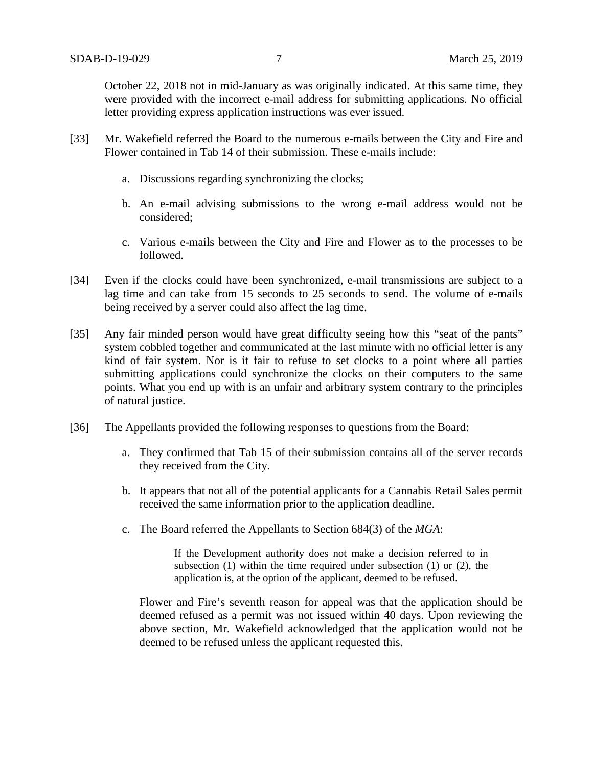October 22, 2018 not in mid-January as was originally indicated. At this same time, they were provided with the incorrect e-mail address for submitting applications. No official letter providing express application instructions was ever issued.

- [33] Mr. Wakefield referred the Board to the numerous e-mails between the City and Fire and Flower contained in Tab 14 of their submission. These e-mails include:
	- a. Discussions regarding synchronizing the clocks;
	- b. An e-mail advising submissions to the wrong e-mail address would not be considered;
	- c. Various e-mails between the City and Fire and Flower as to the processes to be followed.
- [34] Even if the clocks could have been synchronized, e-mail transmissions are subject to a lag time and can take from 15 seconds to 25 seconds to send. The volume of e-mails being received by a server could also affect the lag time.
- [35] Any fair minded person would have great difficulty seeing how this "seat of the pants" system cobbled together and communicated at the last minute with no official letter is any kind of fair system. Nor is it fair to refuse to set clocks to a point where all parties submitting applications could synchronize the clocks on their computers to the same points. What you end up with is an unfair and arbitrary system contrary to the principles of natural justice.
- [36] The Appellants provided the following responses to questions from the Board:
	- a. They confirmed that Tab 15 of their submission contains all of the server records they received from the City.
	- b. It appears that not all of the potential applicants for a Cannabis Retail Sales permit received the same information prior to the application deadline.
	- c. The Board referred the Appellants to Section 684(3) of the *MGA*:

If the Development authority does not make a decision referred to in subsection (1) within the time required under subsection (1) or (2), the application is, at the option of the applicant, deemed to be refused.

Flower and Fire's seventh reason for appeal was that the application should be deemed refused as a permit was not issued within 40 days. Upon reviewing the above section, Mr. Wakefield acknowledged that the application would not be deemed to be refused unless the applicant requested this.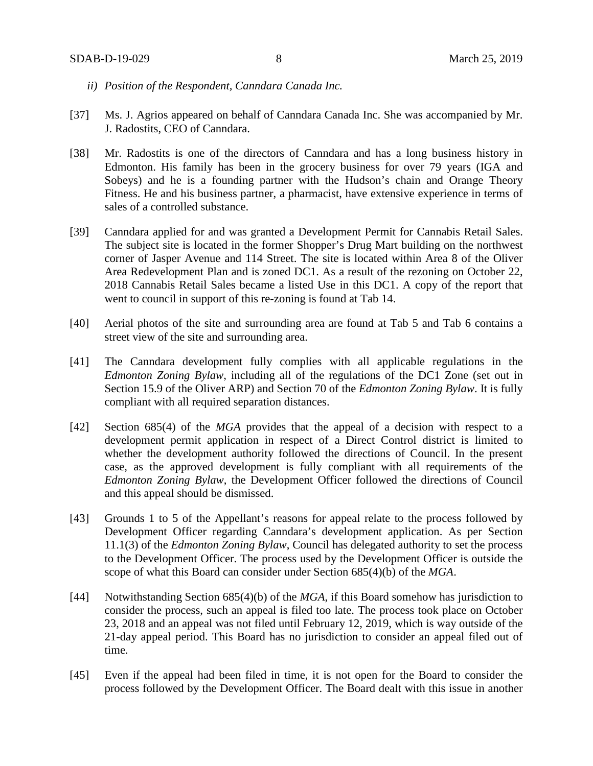- *ii) Position of the Respondent, Canndara Canada Inc.*
- [37] Ms. J. Agrios appeared on behalf of Canndara Canada Inc. She was accompanied by Mr. J. Radostits, CEO of Canndara.
- [38] Mr. Radostits is one of the directors of Canndara and has a long business history in Edmonton. His family has been in the grocery business for over 79 years (IGA and Sobeys) and he is a founding partner with the Hudson's chain and Orange Theory Fitness. He and his business partner, a pharmacist, have extensive experience in terms of sales of a controlled substance.
- [39] Canndara applied for and was granted a Development Permit for Cannabis Retail Sales. The subject site is located in the former Shopper's Drug Mart building on the northwest corner of Jasper Avenue and 114 Street. The site is located within Area 8 of the Oliver Area Redevelopment Plan and is zoned DC1. As a result of the rezoning on October 22, 2018 Cannabis Retail Sales became a listed Use in this DC1. A copy of the report that went to council in support of this re-zoning is found at Tab 14.
- [40] Aerial photos of the site and surrounding area are found at Tab 5 and Tab 6 contains a street view of the site and surrounding area.
- [41] The Canndara development fully complies with all applicable regulations in the *Edmonton Zoning Bylaw*, including all of the regulations of the DC1 Zone (set out in Section 15.9 of the Oliver ARP) and Section 70 of the *Edmonton Zoning Bylaw*. It is fully compliant with all required separation distances.
- [42] Section 685(4) of the *MGA* provides that the appeal of a decision with respect to a development permit application in respect of a Direct Control district is limited to whether the development authority followed the directions of Council. In the present case, as the approved development is fully compliant with all requirements of the *Edmonton Zoning Bylaw*, the Development Officer followed the directions of Council and this appeal should be dismissed.
- [43] Grounds 1 to 5 of the Appellant's reasons for appeal relate to the process followed by Development Officer regarding Canndara's development application. As per Section 11.1(3) of the *Edmonton Zoning Bylaw*, Council has delegated authority to set the process to the Development Officer. The process used by the Development Officer is outside the scope of what this Board can consider under Section 685(4)(b) of the *MGA*.
- [44] Notwithstanding Section 685(4)(b) of the *MGA*, if this Board somehow has jurisdiction to consider the process, such an appeal is filed too late. The process took place on October 23, 2018 and an appeal was not filed until February 12, 2019, which is way outside of the 21-day appeal period. This Board has no jurisdiction to consider an appeal filed out of time.
- [45] Even if the appeal had been filed in time, it is not open for the Board to consider the process followed by the Development Officer. The Board dealt with this issue in another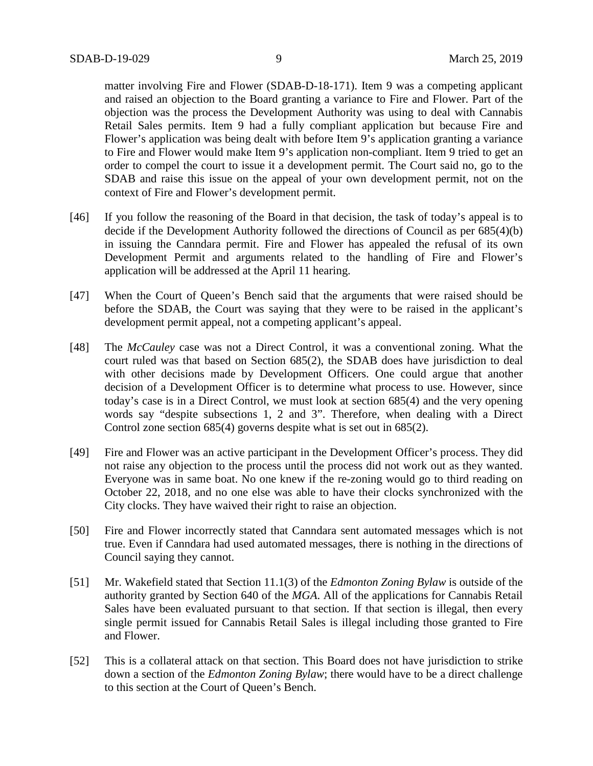matter involving Fire and Flower (SDAB-D-18-171). Item 9 was a competing applicant and raised an objection to the Board granting a variance to Fire and Flower. Part of the objection was the process the Development Authority was using to deal with Cannabis Retail Sales permits. Item 9 had a fully compliant application but because Fire and Flower's application was being dealt with before Item 9's application granting a variance to Fire and Flower would make Item 9's application non-compliant. Item 9 tried to get an order to compel the court to issue it a development permit. The Court said no, go to the SDAB and raise this issue on the appeal of your own development permit, not on the context of Fire and Flower's development permit.

- [46] If you follow the reasoning of the Board in that decision, the task of today's appeal is to decide if the Development Authority followed the directions of Council as per 685(4)(b) in issuing the Canndara permit. Fire and Flower has appealed the refusal of its own Development Permit and arguments related to the handling of Fire and Flower's application will be addressed at the April 11 hearing.
- [47] When the Court of Queen's Bench said that the arguments that were raised should be before the SDAB, the Court was saying that they were to be raised in the applicant's development permit appeal, not a competing applicant's appeal.
- [48] The *McCauley* case was not a Direct Control, it was a conventional zoning. What the court ruled was that based on Section 685(2), the SDAB does have jurisdiction to deal with other decisions made by Development Officers. One could argue that another decision of a Development Officer is to determine what process to use. However, since today's case is in a Direct Control, we must look at section 685(4) and the very opening words say "despite subsections 1, 2 and 3". Therefore, when dealing with a Direct Control zone section 685(4) governs despite what is set out in 685(2).
- [49] Fire and Flower was an active participant in the Development Officer's process. They did not raise any objection to the process until the process did not work out as they wanted. Everyone was in same boat. No one knew if the re-zoning would go to third reading on October 22, 2018, and no one else was able to have their clocks synchronized with the City clocks. They have waived their right to raise an objection.
- [50] Fire and Flower incorrectly stated that Canndara sent automated messages which is not true. Even if Canndara had used automated messages, there is nothing in the directions of Council saying they cannot.
- [51] Mr. Wakefield stated that Section 11.1(3) of the *Edmonton Zoning Bylaw* is outside of the authority granted by Section 640 of the *MGA*. All of the applications for Cannabis Retail Sales have been evaluated pursuant to that section. If that section is illegal, then every single permit issued for Cannabis Retail Sales is illegal including those granted to Fire and Flower.
- [52] This is a collateral attack on that section. This Board does not have jurisdiction to strike down a section of the *Edmonton Zoning Bylaw*; there would have to be a direct challenge to this section at the Court of Queen's Bench.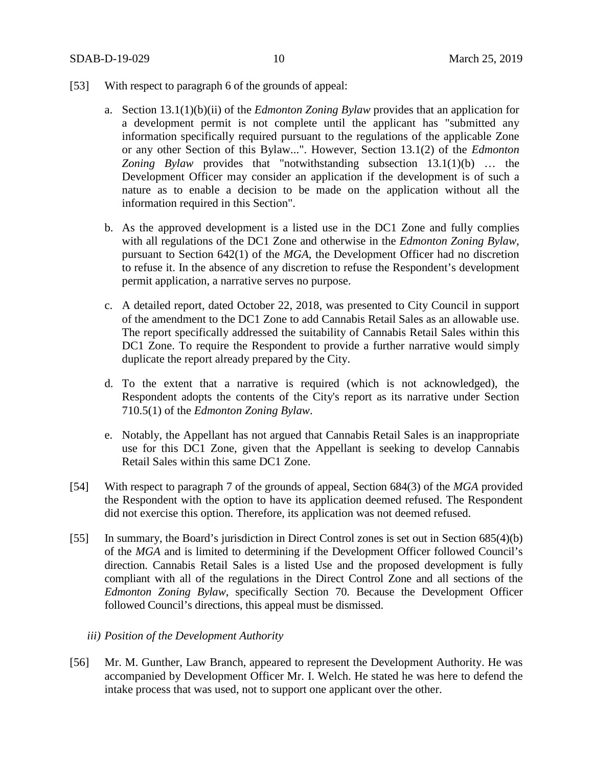- [53] With respect to paragraph 6 of the grounds of appeal:
	- a. Section 13.1(1)(b)(ii) of the *Edmonton Zoning Bylaw* provides that an application for a development permit is not complete until the applicant has "submitted any information specifically required pursuant to the regulations of the applicable Zone or any other Section of this Bylaw...". However, Section 13.1(2) of the *Edmonton Zoning Bylaw* provides that "notwithstanding subsection 13.1(1)(b) … the Development Officer may consider an application if the development is of such a nature as to enable a decision to be made on the application without all the information required in this Section".
	- b. As the approved development is a listed use in the DC1 Zone and fully complies with all regulations of the DC1 Zone and otherwise in the *Edmonton Zoning Bylaw*, pursuant to Section 642(1) of the *MGA*, the Development Officer had no discretion to refuse it. In the absence of any discretion to refuse the Respondent's development permit application, a narrative serves no purpose.
	- c. A detailed report, dated October 22, 2018, was presented to City Council in support of the amendment to the DC1 Zone to add Cannabis Retail Sales as an allowable use. The report specifically addressed the suitability of Cannabis Retail Sales within this DC1 Zone. To require the Respondent to provide a further narrative would simply duplicate the report already prepared by the City.
	- d. To the extent that a narrative is required (which is not acknowledged), the Respondent adopts the contents of the City's report as its narrative under Section 710.5(1) of the *Edmonton Zoning Bylaw*.
	- e. Notably, the Appellant has not argued that Cannabis Retail Sales is an inappropriate use for this DC1 Zone, given that the Appellant is seeking to develop Cannabis Retail Sales within this same DC1 Zone.
- [54] With respect to paragraph 7 of the grounds of appeal, Section 684(3) of the *MGA* provided the Respondent with the option to have its application deemed refused. The Respondent did not exercise this option. Therefore, its application was not deemed refused.
- [55] In summary, the Board's jurisdiction in Direct Control zones is set out in Section 685(4)(b) of the *MGA* and is limited to determining if the Development Officer followed Council's direction. Cannabis Retail Sales is a listed Use and the proposed development is fully compliant with all of the regulations in the Direct Control Zone and all sections of the *Edmonton Zoning Bylaw*, specifically Section 70. Because the Development Officer followed Council's directions, this appeal must be dismissed.
	- *iii) Position of the Development Authority*
- [56] Mr. M. Gunther, Law Branch, appeared to represent the Development Authority. He was accompanied by Development Officer Mr. I. Welch. He stated he was here to defend the intake process that was used, not to support one applicant over the other.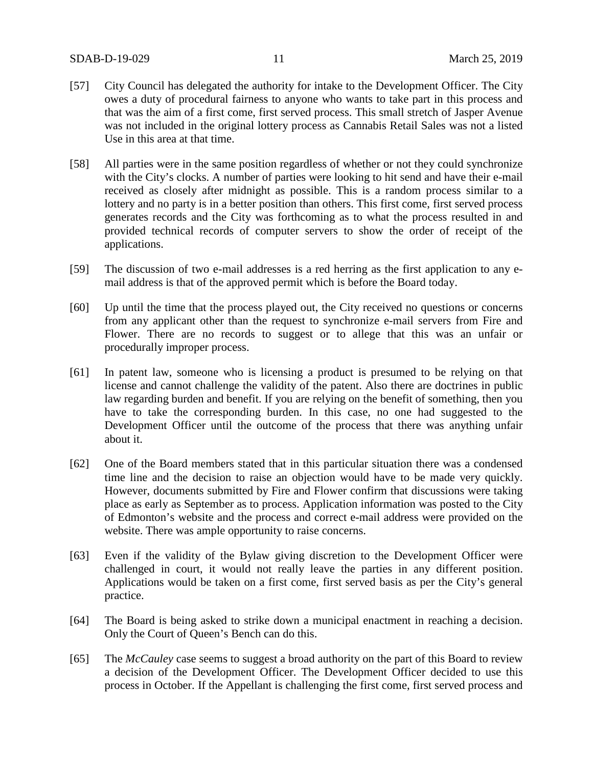- [57] City Council has delegated the authority for intake to the Development Officer. The City owes a duty of procedural fairness to anyone who wants to take part in this process and that was the aim of a first come, first served process. This small stretch of Jasper Avenue was not included in the original lottery process as Cannabis Retail Sales was not a listed Use in this area at that time.
- [58] All parties were in the same position regardless of whether or not they could synchronize with the City's clocks. A number of parties were looking to hit send and have their e-mail received as closely after midnight as possible. This is a random process similar to a lottery and no party is in a better position than others. This first come, first served process generates records and the City was forthcoming as to what the process resulted in and provided technical records of computer servers to show the order of receipt of the applications.
- [59] The discussion of two e-mail addresses is a red herring as the first application to any email address is that of the approved permit which is before the Board today.
- [60] Up until the time that the process played out, the City received no questions or concerns from any applicant other than the request to synchronize e-mail servers from Fire and Flower. There are no records to suggest or to allege that this was an unfair or procedurally improper process.
- [61] In patent law, someone who is licensing a product is presumed to be relying on that license and cannot challenge the validity of the patent. Also there are doctrines in public law regarding burden and benefit. If you are relying on the benefit of something, then you have to take the corresponding burden. In this case, no one had suggested to the Development Officer until the outcome of the process that there was anything unfair about it.
- [62] One of the Board members stated that in this particular situation there was a condensed time line and the decision to raise an objection would have to be made very quickly. However, documents submitted by Fire and Flower confirm that discussions were taking place as early as September as to process. Application information was posted to the City of Edmonton's website and the process and correct e-mail address were provided on the website. There was ample opportunity to raise concerns.
- [63] Even if the validity of the Bylaw giving discretion to the Development Officer were challenged in court, it would not really leave the parties in any different position. Applications would be taken on a first come, first served basis as per the City's general practice.
- [64] The Board is being asked to strike down a municipal enactment in reaching a decision. Only the Court of Queen's Bench can do this.
- [65] The *McCauley* case seems to suggest a broad authority on the part of this Board to review a decision of the Development Officer. The Development Officer decided to use this process in October. If the Appellant is challenging the first come, first served process and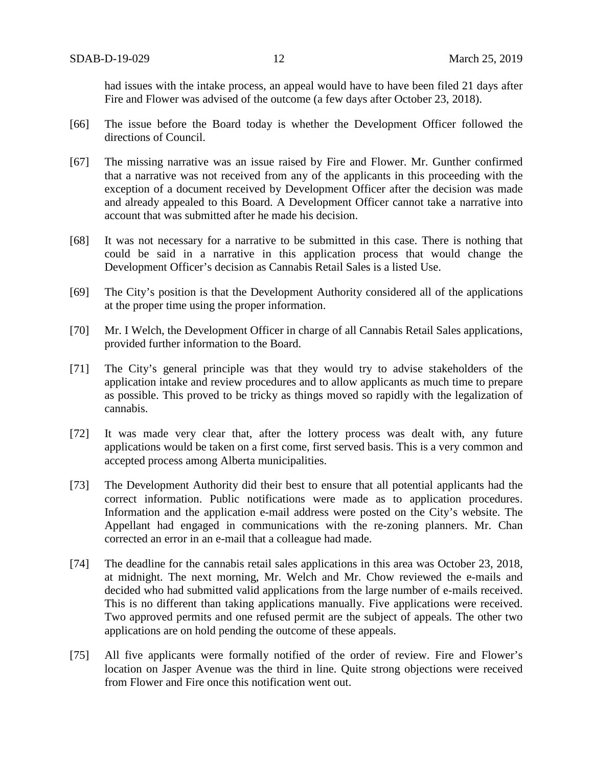had issues with the intake process, an appeal would have to have been filed 21 days after Fire and Flower was advised of the outcome (a few days after October 23, 2018).

- [66] The issue before the Board today is whether the Development Officer followed the directions of Council.
- [67] The missing narrative was an issue raised by Fire and Flower. Mr. Gunther confirmed that a narrative was not received from any of the applicants in this proceeding with the exception of a document received by Development Officer after the decision was made and already appealed to this Board. A Development Officer cannot take a narrative into account that was submitted after he made his decision.
- [68] It was not necessary for a narrative to be submitted in this case. There is nothing that could be said in a narrative in this application process that would change the Development Officer's decision as Cannabis Retail Sales is a listed Use.
- [69] The City's position is that the Development Authority considered all of the applications at the proper time using the proper information.
- [70] Mr. I Welch, the Development Officer in charge of all Cannabis Retail Sales applications, provided further information to the Board.
- [71] The City's general principle was that they would try to advise stakeholders of the application intake and review procedures and to allow applicants as much time to prepare as possible. This proved to be tricky as things moved so rapidly with the legalization of cannabis.
- [72] It was made very clear that, after the lottery process was dealt with, any future applications would be taken on a first come, first served basis. This is a very common and accepted process among Alberta municipalities.
- [73] The Development Authority did their best to ensure that all potential applicants had the correct information. Public notifications were made as to application procedures. Information and the application e-mail address were posted on the City's website. The Appellant had engaged in communications with the re-zoning planners. Mr. Chan corrected an error in an e-mail that a colleague had made.
- [74] The deadline for the cannabis retail sales applications in this area was October 23, 2018, at midnight. The next morning, Mr. Welch and Mr. Chow reviewed the e-mails and decided who had submitted valid applications from the large number of e-mails received. This is no different than taking applications manually. Five applications were received. Two approved permits and one refused permit are the subject of appeals. The other two applications are on hold pending the outcome of these appeals.
- [75] All five applicants were formally notified of the order of review. Fire and Flower's location on Jasper Avenue was the third in line. Quite strong objections were received from Flower and Fire once this notification went out.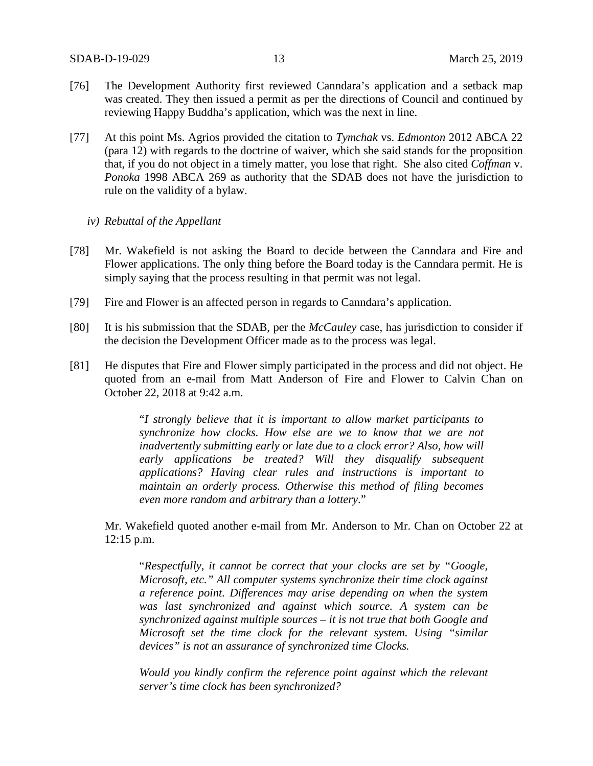- [76] The Development Authority first reviewed Canndara's application and a setback map was created. They then issued a permit as per the directions of Council and continued by reviewing Happy Buddha's application, which was the next in line.
- [77] At this point Ms. Agrios provided the citation to *Tymchak* vs. *Edmonton* 2012 ABCA 22 (para 12) with regards to the doctrine of waiver, which she said stands for the proposition that, if you do not object in a timely matter, you lose that right. She also cited *Coffman* v. *Ponoka* 1998 ABCA 269 as authority that the SDAB does not have the jurisdiction to rule on the validity of a bylaw.
	- *iv) Rebuttal of the Appellant*
- [78] Mr. Wakefield is not asking the Board to decide between the Canndara and Fire and Flower applications. The only thing before the Board today is the Canndara permit. He is simply saying that the process resulting in that permit was not legal.
- [79] Fire and Flower is an affected person in regards to Canndara's application.
- [80] It is his submission that the SDAB, per the *McCauley* case, has jurisdiction to consider if the decision the Development Officer made as to the process was legal.
- [81] He disputes that Fire and Flower simply participated in the process and did not object. He quoted from an e-mail from Matt Anderson of Fire and Flower to Calvin Chan on October 22, 2018 at 9:42 a.m.

"*I strongly believe that it is important to allow market participants to synchronize how clocks. How else are we to know that we are not inadvertently submitting early or late due to a clock error? Also, how will early applications be treated? Will they disqualify subsequent applications? Having clear rules and instructions is important to maintain an orderly process. Otherwise this method of filing becomes even more random and arbitrary than a lottery*."

Mr. Wakefield quoted another e-mail from Mr. Anderson to Mr. Chan on October 22 at 12:15 p.m.

"*Respectfully, it cannot be correct that your clocks are set by "Google, Microsoft, etc." All computer systems synchronize their time clock against a reference point. Differences may arise depending on when the system was last synchronized and against which source. A system can be synchronized against multiple sources – it is not true that both Google and Microsoft set the time clock for the relevant system. Using "similar devices" is not an assurance of synchronized time Clocks.*

*Would you kindly confirm the reference point against which the relevant server's time clock has been synchronized?*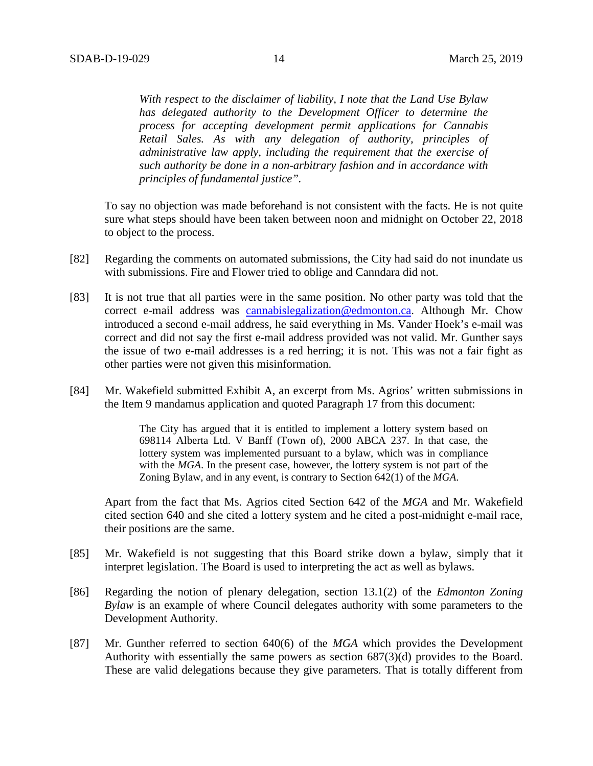*With respect to the disclaimer of liability, I note that the Land Use Bylaw has delegated authority to the Development Officer to determine the process for accepting development permit applications for Cannabis Retail Sales. As with any delegation of authority, principles of administrative law apply, including the requirement that the exercise of such authority be done in a non-arbitrary fashion and in accordance with principles of fundamental justice".*

To say no objection was made beforehand is not consistent with the facts. He is not quite sure what steps should have been taken between noon and midnight on October 22, 2018 to object to the process.

- [82] Regarding the comments on automated submissions, the City had said do not inundate us with submissions. Fire and Flower tried to oblige and Canndara did not.
- [83] It is not true that all parties were in the same position. No other party was told that the correct e-mail address was [cannabislegalization@edmonton.ca.](mailto:cannabislegalization@edmonton.ca) Although Mr. Chow introduced a second e-mail address, he said everything in Ms. Vander Hoek's e-mail was correct and did not say the first e-mail address provided was not valid. Mr. Gunther says the issue of two e-mail addresses is a red herring; it is not. This was not a fair fight as other parties were not given this misinformation.
- [84] Mr. Wakefield submitted Exhibit A, an excerpt from Ms. Agrios' written submissions in the Item 9 mandamus application and quoted Paragraph 17 from this document:

The City has argued that it is entitled to implement a lottery system based on 698114 Alberta Ltd. V Banff (Town of), 2000 ABCA 237. In that case, the lottery system was implemented pursuant to a bylaw, which was in compliance with the *MGA*. In the present case, however, the lottery system is not part of the Zoning Bylaw, and in any event, is contrary to Section 642(1) of the *MGA*.

Apart from the fact that Ms. Agrios cited Section 642 of the *MGA* and Mr. Wakefield cited section 640 and she cited a lottery system and he cited a post-midnight e-mail race, their positions are the same.

- [85] Mr. Wakefield is not suggesting that this Board strike down a bylaw, simply that it interpret legislation. The Board is used to interpreting the act as well as bylaws.
- [86] Regarding the notion of plenary delegation, section 13.1(2) of the *Edmonton Zoning Bylaw* is an example of where Council delegates authority with some parameters to the Development Authority.
- [87] Mr. Gunther referred to section 640(6) of the *MGA* which provides the Development Authority with essentially the same powers as section 687(3)(d) provides to the Board. These are valid delegations because they give parameters. That is totally different from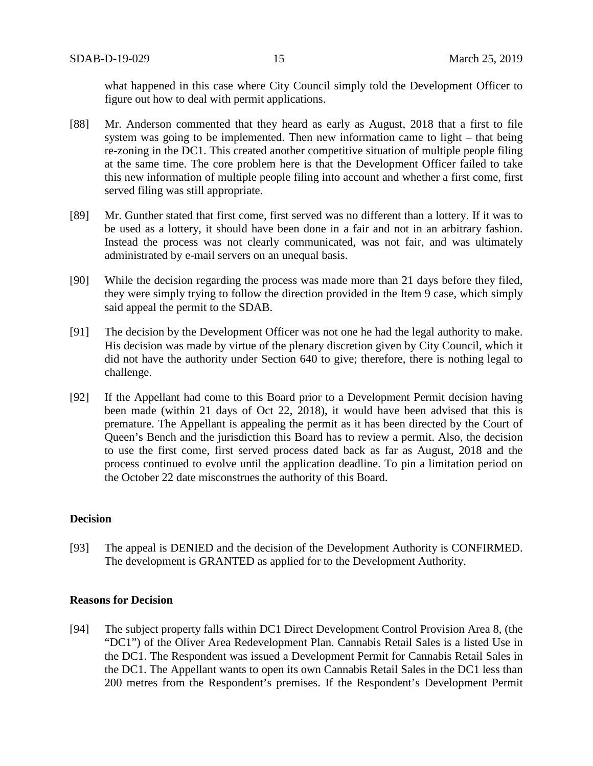what happened in this case where City Council simply told the Development Officer to figure out how to deal with permit applications.

- [88] Mr. Anderson commented that they heard as early as August, 2018 that a first to file system was going to be implemented. Then new information came to light – that being re-zoning in the DC1. This created another competitive situation of multiple people filing at the same time. The core problem here is that the Development Officer failed to take this new information of multiple people filing into account and whether a first come, first served filing was still appropriate.
- [89] Mr. Gunther stated that first come, first served was no different than a lottery. If it was to be used as a lottery, it should have been done in a fair and not in an arbitrary fashion. Instead the process was not clearly communicated, was not fair, and was ultimately administrated by e-mail servers on an unequal basis.
- [90] While the decision regarding the process was made more than 21 days before they filed, they were simply trying to follow the direction provided in the Item 9 case, which simply said appeal the permit to the SDAB.
- [91] The decision by the Development Officer was not one he had the legal authority to make. His decision was made by virtue of the plenary discretion given by City Council, which it did not have the authority under Section 640 to give; therefore, there is nothing legal to challenge.
- [92] If the Appellant had come to this Board prior to a Development Permit decision having been made (within 21 days of Oct 22, 2018), it would have been advised that this is premature. The Appellant is appealing the permit as it has been directed by the Court of Queen's Bench and the jurisdiction this Board has to review a permit. Also, the decision to use the first come, first served process dated back as far as August, 2018 and the process continued to evolve until the application deadline. To pin a limitation period on the October 22 date misconstrues the authority of this Board.

#### **Decision**

[93] The appeal is DENIED and the decision of the Development Authority is CONFIRMED. The development is GRANTED as applied for to the Development Authority.

#### **Reasons for Decision**

[94] The subject property falls within DC1 Direct Development Control Provision Area 8, (the "DC1") of the Oliver Area Redevelopment Plan. Cannabis Retail Sales is a listed Use in the DC1. The Respondent was issued a Development Permit for Cannabis Retail Sales in the DC1. The Appellant wants to open its own Cannabis Retail Sales in the DC1 less than 200 metres from the Respondent's premises. If the Respondent's Development Permit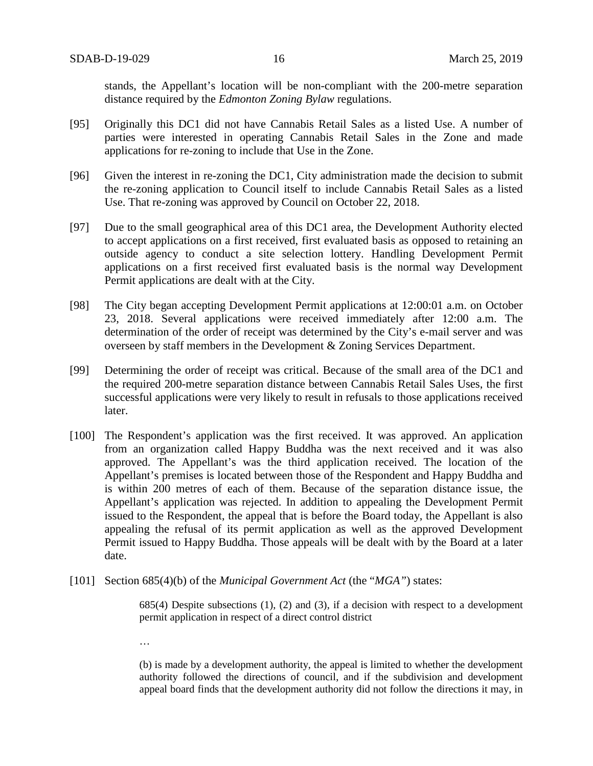stands, the Appellant's location will be non-compliant with the 200-metre separation distance required by the *Edmonton Zoning Bylaw* regulations.

- [95] Originally this DC1 did not have Cannabis Retail Sales as a listed Use. A number of parties were interested in operating Cannabis Retail Sales in the Zone and made applications for re-zoning to include that Use in the Zone.
- [96] Given the interest in re-zoning the DC1, City administration made the decision to submit the re-zoning application to Council itself to include Cannabis Retail Sales as a listed Use. That re-zoning was approved by Council on October 22, 2018.
- [97] Due to the small geographical area of this DC1 area, the Development Authority elected to accept applications on a first received, first evaluated basis as opposed to retaining an outside agency to conduct a site selection lottery. Handling Development Permit applications on a first received first evaluated basis is the normal way Development Permit applications are dealt with at the City.
- [98] The City began accepting Development Permit applications at 12:00:01 a.m. on October 23, 2018. Several applications were received immediately after 12:00 a.m. The determination of the order of receipt was determined by the City's e-mail server and was overseen by staff members in the Development & Zoning Services Department.
- [99] Determining the order of receipt was critical. Because of the small area of the DC1 and the required 200-metre separation distance between Cannabis Retail Sales Uses, the first successful applications were very likely to result in refusals to those applications received later.
- [100] The Respondent's application was the first received. It was approved. An application from an organization called Happy Buddha was the next received and it was also approved. The Appellant's was the third application received. The location of the Appellant's premises is located between those of the Respondent and Happy Buddha and is within 200 metres of each of them. Because of the separation distance issue, the Appellant's application was rejected. In addition to appealing the Development Permit issued to the Respondent, the appeal that is before the Board today, the Appellant is also appealing the refusal of its permit application as well as the approved Development Permit issued to Happy Buddha. Those appeals will be dealt with by the Board at a later date.
- [101] Section 685(4)(b) of the *Municipal Government Act* (the "*MGA"*) states:

685(4) Despite subsections (1), (2) and (3), if a decision with respect to a development permit application in respect of a direct control district

…

(b) is made by a development authority, the appeal is limited to whether the development authority followed the directions of council, and if the subdivision and development appeal board finds that the development authority did not follow the directions it may, in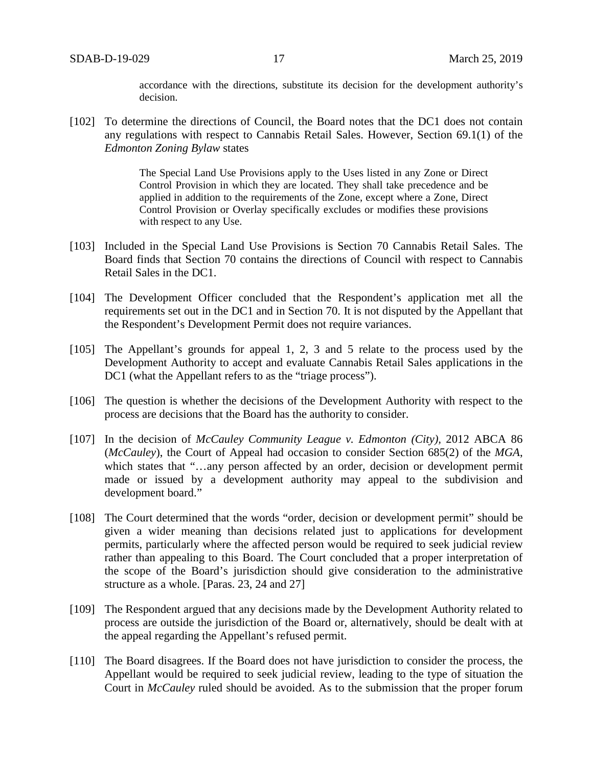accordance with the directions, substitute its decision for the development authority's decision.

[102] To determine the directions of Council, the Board notes that the DC1 does not contain any regulations with respect to Cannabis Retail Sales. However, Section 69.1(1) of the *Edmonton Zoning Bylaw* states

> The Special Land Use Provisions apply to the Uses listed in any Zone or Direct Control Provision in which they are located. They shall take precedence and be applied in addition to the requirements of the Zone, except where a Zone, Direct Control Provision or Overlay specifically excludes or modifies these provisions with respect to any Use.

- [103] Included in the Special Land Use Provisions is Section 70 Cannabis Retail Sales. The Board finds that Section 70 contains the directions of Council with respect to Cannabis Retail Sales in the DC1.
- [104] The Development Officer concluded that the Respondent's application met all the requirements set out in the DC1 and in Section 70. It is not disputed by the Appellant that the Respondent's Development Permit does not require variances.
- [105] The Appellant's grounds for appeal 1, 2, 3 and 5 relate to the process used by the Development Authority to accept and evaluate Cannabis Retail Sales applications in the DC1 (what the Appellant refers to as the "triage process").
- [106] The question is whether the decisions of the Development Authority with respect to the process are decisions that the Board has the authority to consider.
- [107] In the decision of *McCauley Community League v. Edmonton (City),* 2012 ABCA 86 (*McCauley*), the Court of Appeal had occasion to consider Section 685(2) of the *MGA*, which states that "...any person affected by an order, decision or development permit made or issued by a development authority may appeal to the subdivision and development board."
- [108] The Court determined that the words "order, decision or development permit" should be given a wider meaning than decisions related just to applications for development permits, particularly where the affected person would be required to seek judicial review rather than appealing to this Board. The Court concluded that a proper interpretation of the scope of the Board's jurisdiction should give consideration to the administrative structure as a whole. [Paras. 23, 24 and 27]
- [109] The Respondent argued that any decisions made by the Development Authority related to process are outside the jurisdiction of the Board or, alternatively, should be dealt with at the appeal regarding the Appellant's refused permit.
- [110] The Board disagrees. If the Board does not have jurisdiction to consider the process, the Appellant would be required to seek judicial review, leading to the type of situation the Court in *McCauley* ruled should be avoided. As to the submission that the proper forum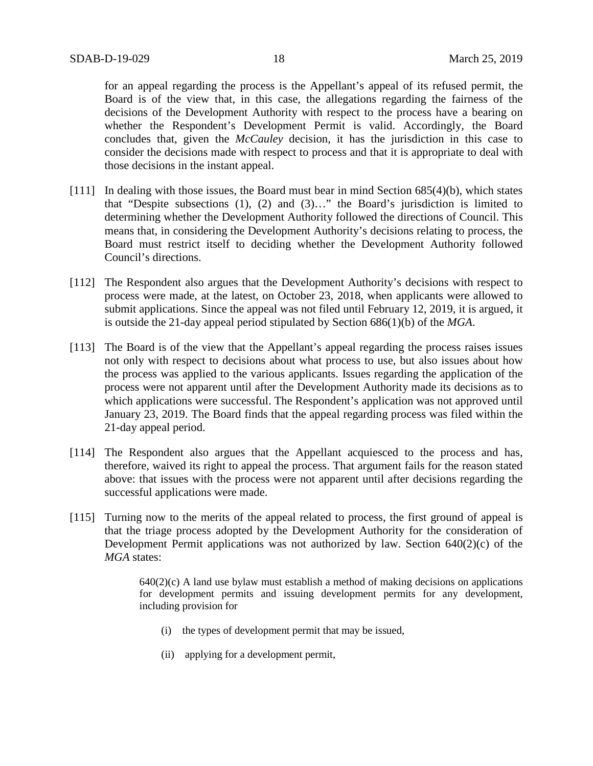for an appeal regarding the process is the Appellant's appeal of its refused permit, the Board is of the view that, in this case, the allegations regarding the fairness of the decisions of the Development Authority with respect to the process have a bearing on whether the Respondent's Development Permit is valid. Accordingly, the Board concludes that, given the *McCauley* decision, it has the jurisdiction in this case to consider the decisions made with respect to process and that it is appropriate to deal with those decisions in the instant appeal.

- [111] In dealing with those issues, the Board must bear in mind Section 685(4)(b), which states that "Despite subsections (1), (2) and (3)…" the Board's jurisdiction is limited to determining whether the Development Authority followed the directions of Council. This means that, in considering the Development Authority's decisions relating to process, the Board must restrict itself to deciding whether the Development Authority followed Council's directions.
- [112] The Respondent also argues that the Development Authority's decisions with respect to process were made, at the latest, on October 23, 2018, when applicants were allowed to submit applications. Since the appeal was not filed until February 12, 2019, it is argued, it is outside the 21-day appeal period stipulated by Section 686(1)(b) of the *MGA*.
- [113] The Board is of the view that the Appellant's appeal regarding the process raises issues not only with respect to decisions about what process to use, but also issues about how the process was applied to the various applicants. Issues regarding the application of the process were not apparent until after the Development Authority made its decisions as to which applications were successful. The Respondent's application was not approved until January 23, 2019. The Board finds that the appeal regarding process was filed within the 21-day appeal period.
- [114] The Respondent also argues that the Appellant acquiesced to the process and has, therefore, waived its right to appeal the process. That argument fails for the reason stated above: that issues with the process were not apparent until after decisions regarding the successful applications were made.
- [115] Turning now to the merits of the appeal related to process, the first ground of appeal is that the triage process adopted by the Development Authority for the consideration of Development Permit applications was not authorized by law. Section 640(2)(c) of the *MGA* states:

 $640(2)(c)$  A land use bylaw must establish a method of making decisions on applications for development permits and issuing development permits for any development, including provision for

- (i) the types of development permit that may be issued,
- (ii) applying for a development permit,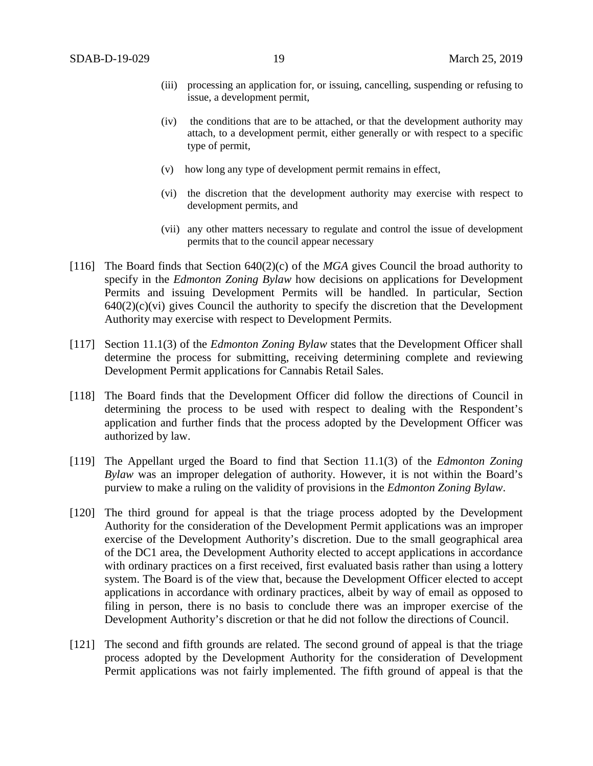- (iii) processing an application for, or issuing, cancelling, suspending or refusing to issue, a development permit,
- (iv) the conditions that are to be attached, or that the development authority may attach, to a development permit, either generally or with respect to a specific type of permit,
- (v) how long any type of development permit remains in effect,
- (vi) the discretion that the development authority may exercise with respect to development permits, and
- (vii) any other matters necessary to regulate and control the issue of development permits that to the council appear necessary
- [116] The Board finds that Section 640(2)(c) of the *MGA* gives Council the broad authority to specify in the *Edmonton Zoning Bylaw* how decisions on applications for Development Permits and issuing Development Permits will be handled. In particular, Section  $640(2)(c)(vi)$  gives Council the authority to specify the discretion that the Development Authority may exercise with respect to Development Permits.
- [117] Section 11.1(3) of the *Edmonton Zoning Bylaw* states that the Development Officer shall determine the process for submitting, receiving determining complete and reviewing Development Permit applications for Cannabis Retail Sales.
- [118] The Board finds that the Development Officer did follow the directions of Council in determining the process to be used with respect to dealing with the Respondent's application and further finds that the process adopted by the Development Officer was authorized by law.
- [119] The Appellant urged the Board to find that Section 11.1(3) of the *Edmonton Zoning Bylaw* was an improper delegation of authority. However, it is not within the Board's purview to make a ruling on the validity of provisions in the *Edmonton Zoning Bylaw*.
- [120] The third ground for appeal is that the triage process adopted by the Development Authority for the consideration of the Development Permit applications was an improper exercise of the Development Authority's discretion. Due to the small geographical area of the DC1 area, the Development Authority elected to accept applications in accordance with ordinary practices on a first received, first evaluated basis rather than using a lottery system. The Board is of the view that, because the Development Officer elected to accept applications in accordance with ordinary practices, albeit by way of email as opposed to filing in person, there is no basis to conclude there was an improper exercise of the Development Authority's discretion or that he did not follow the directions of Council.
- [121] The second and fifth grounds are related. The second ground of appeal is that the triage process adopted by the Development Authority for the consideration of Development Permit applications was not fairly implemented. The fifth ground of appeal is that the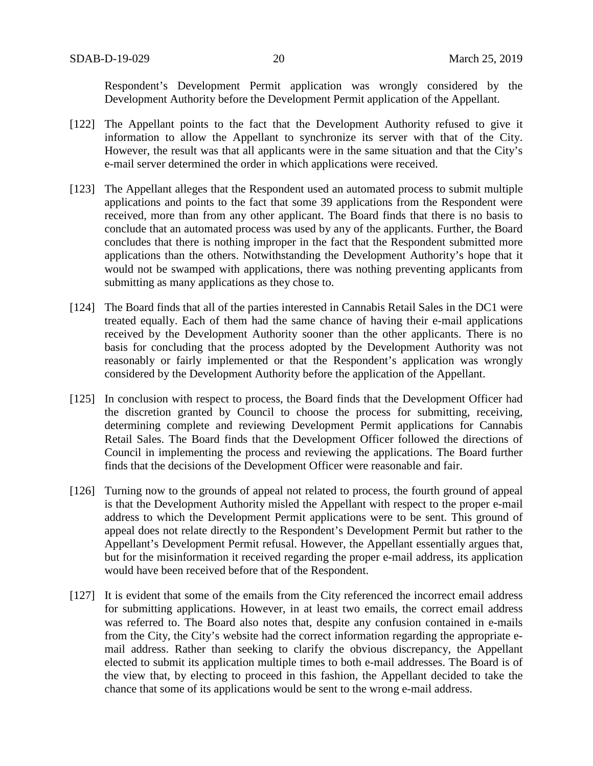Respondent's Development Permit application was wrongly considered by the Development Authority before the Development Permit application of the Appellant.

- [122] The Appellant points to the fact that the Development Authority refused to give it information to allow the Appellant to synchronize its server with that of the City. However, the result was that all applicants were in the same situation and that the City's e-mail server determined the order in which applications were received.
- [123] The Appellant alleges that the Respondent used an automated process to submit multiple applications and points to the fact that some 39 applications from the Respondent were received, more than from any other applicant. The Board finds that there is no basis to conclude that an automated process was used by any of the applicants. Further, the Board concludes that there is nothing improper in the fact that the Respondent submitted more applications than the others. Notwithstanding the Development Authority's hope that it would not be swamped with applications, there was nothing preventing applicants from submitting as many applications as they chose to.
- [124] The Board finds that all of the parties interested in Cannabis Retail Sales in the DC1 were treated equally. Each of them had the same chance of having their e-mail applications received by the Development Authority sooner than the other applicants. There is no basis for concluding that the process adopted by the Development Authority was not reasonably or fairly implemented or that the Respondent's application was wrongly considered by the Development Authority before the application of the Appellant.
- [125] In conclusion with respect to process, the Board finds that the Development Officer had the discretion granted by Council to choose the process for submitting, receiving, determining complete and reviewing Development Permit applications for Cannabis Retail Sales. The Board finds that the Development Officer followed the directions of Council in implementing the process and reviewing the applications. The Board further finds that the decisions of the Development Officer were reasonable and fair.
- [126] Turning now to the grounds of appeal not related to process, the fourth ground of appeal is that the Development Authority misled the Appellant with respect to the proper e-mail address to which the Development Permit applications were to be sent. This ground of appeal does not relate directly to the Respondent's Development Permit but rather to the Appellant's Development Permit refusal. However, the Appellant essentially argues that, but for the misinformation it received regarding the proper e-mail address, its application would have been received before that of the Respondent.
- [127] It is evident that some of the emails from the City referenced the incorrect email address for submitting applications. However, in at least two emails, the correct email address was referred to. The Board also notes that, despite any confusion contained in e-mails from the City, the City's website had the correct information regarding the appropriate email address. Rather than seeking to clarify the obvious discrepancy, the Appellant elected to submit its application multiple times to both e-mail addresses. The Board is of the view that, by electing to proceed in this fashion, the Appellant decided to take the chance that some of its applications would be sent to the wrong e-mail address.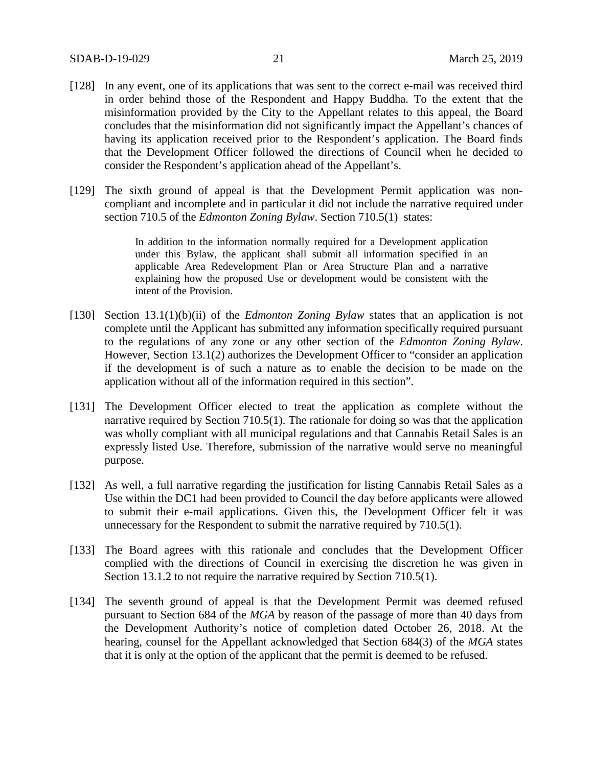- [128] In any event, one of its applications that was sent to the correct e-mail was received third in order behind those of the Respondent and Happy Buddha. To the extent that the misinformation provided by the City to the Appellant relates to this appeal, the Board concludes that the misinformation did not significantly impact the Appellant's chances of having its application received prior to the Respondent's application. The Board finds that the Development Officer followed the directions of Council when he decided to consider the Respondent's application ahead of the Appellant's.
- [129] The sixth ground of appeal is that the Development Permit application was noncompliant and incomplete and in particular it did not include the narrative required under section 710.5 of the *Edmonton Zoning Bylaw*. Section 710.5(1) states:

In addition to the information normally required for a Development application under this Bylaw, the applicant shall submit all information specified in an applicable Area Redevelopment Plan or Area Structure Plan and a narrative explaining how the proposed Use or development would be consistent with the intent of the Provision.

- [130] Section 13.1(1)(b)(ii) of the *Edmonton Zoning Bylaw* states that an application is not complete until the Applicant has submitted any information specifically required pursuant to the regulations of any zone or any other section of the *Edmonton Zoning Bylaw*. However, Section 13.1(2) authorizes the Development Officer to "consider an application if the development is of such a nature as to enable the decision to be made on the application without all of the information required in this section".
- [131] The Development Officer elected to treat the application as complete without the narrative required by Section 710.5(1). The rationale for doing so was that the application was wholly compliant with all municipal regulations and that Cannabis Retail Sales is an expressly listed Use. Therefore, submission of the narrative would serve no meaningful purpose.
- [132] As well, a full narrative regarding the justification for listing Cannabis Retail Sales as a Use within the DC1 had been provided to Council the day before applicants were allowed to submit their e-mail applications. Given this, the Development Officer felt it was unnecessary for the Respondent to submit the narrative required by 710.5(1).
- [133] The Board agrees with this rationale and concludes that the Development Officer complied with the directions of Council in exercising the discretion he was given in Section 13.1.2 to not require the narrative required by Section 710.5(1).
- [134] The seventh ground of appeal is that the Development Permit was deemed refused pursuant to Section 684 of the *MGA* by reason of the passage of more than 40 days from the Development Authority's notice of completion dated October 26, 2018. At the hearing, counsel for the Appellant acknowledged that Section 684(3) of the *MGA* states that it is only at the option of the applicant that the permit is deemed to be refused.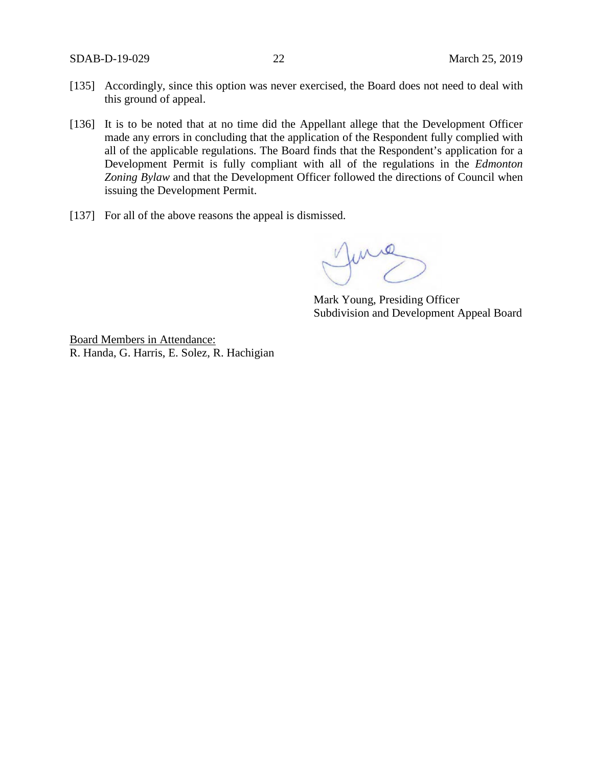- [135] Accordingly, since this option was never exercised, the Board does not need to deal with this ground of appeal.
- [136] It is to be noted that at no time did the Appellant allege that the Development Officer made any errors in concluding that the application of the Respondent fully complied with all of the applicable regulations. The Board finds that the Respondent's application for a Development Permit is fully compliant with all of the regulations in the *Edmonton Zoning Bylaw* and that the Development Officer followed the directions of Council when issuing the Development Permit.
- [137] For all of the above reasons the appeal is dismissed.

June

Mark Young, Presiding Officer Subdivision and Development Appeal Board

Board Members in Attendance: R. Handa, G. Harris, E. Solez, R. Hachigian